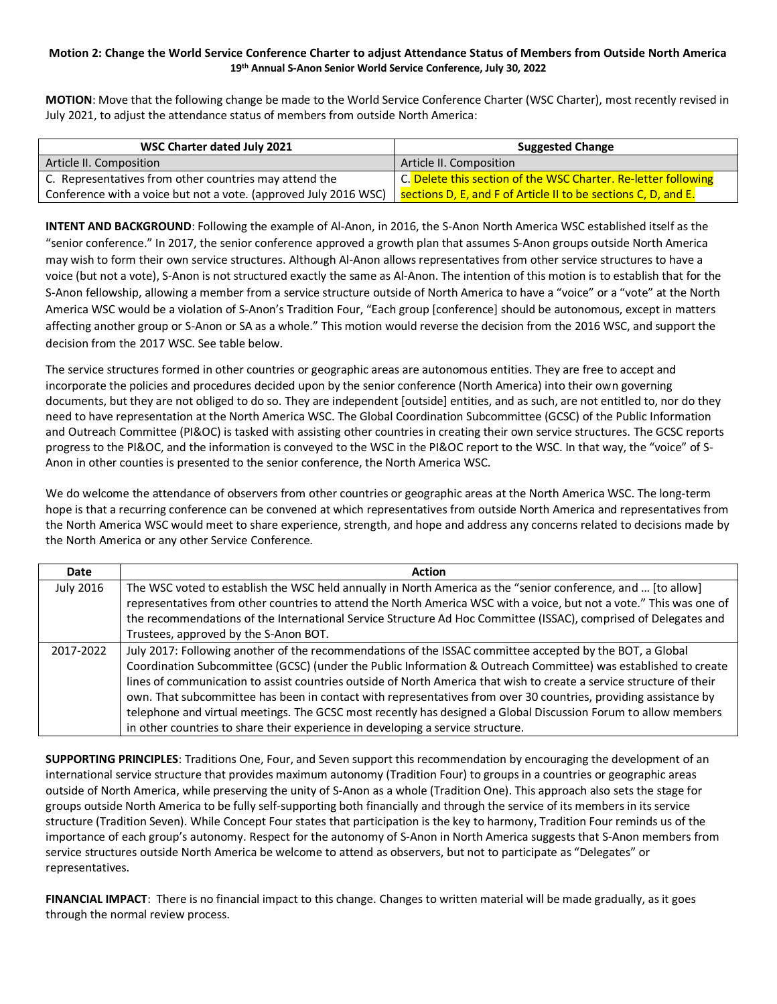## **Motion 2: Change the World Service Conference Charter to adjust Attendance Status of Members from Outside North America 19th Annual S-Anon Senior World Service Conference, July 30, 2022**

**MOTION**: Move that the following change be made to the World Service Conference Charter (WSC Charter), most recently revised in July 2021, to adjust the attendance status of members from outside North America:

| WSC Charter dated July 2021                                                                                                       | <b>Suggested Change</b>                                        |
|-----------------------------------------------------------------------------------------------------------------------------------|----------------------------------------------------------------|
| Article II. Composition                                                                                                           | Article II. Composition                                        |
| C. Representatives from other countries may attend the                                                                            | C. Delete this section of the WSC Charter. Re-letter following |
| Conference with a voice but not a vote. (approved July 2016 WSC)   sections D, E, and F of Article II to be sections C, D, and E. |                                                                |

**INTENT AND BACKGROUND**: Following the example of Al-Anon, in 2016, the S-Anon North America WSC established itself as the "senior conference." In 2017, the senior conference approved a growth plan that assumes S-Anon groups outside North America may wish to form their own service structures. Although Al-Anon allows representatives from other service structures to have a voice (but not a vote), S-Anon is not structured exactly the same as Al-Anon. The intention of this motion is to establish that for the S-Anon fellowship, allowing a member from a service structure outside of North America to have a "voice" or a "vote" at the North America WSC would be a violation of S-Anon's Tradition Four, "Each group [conference] should be autonomous, except in matters affecting another group or S-Anon or SA as a whole." This motion would reverse the decision from the 2016 WSC, and support the decision from the 2017 WSC. See table below.

The service structures formed in other countries or geographic areas are autonomous entities. They are free to accept and incorporate the policies and procedures decided upon by the senior conference (North America) into their own governing documents, but they are not obliged to do so. They are independent [outside] entities, and as such, are not entitled to, nor do they need to have representation at the North America WSC. The Global Coordination Subcommittee (GCSC) of the Public Information and Outreach Committee (PI&OC) is tasked with assisting other countries in creating their own service structures. The GCSC reports progress to the PI&OC, and the information is conveyed to the WSC in the PI&OC report to the WSC. In that way, the "voice" of S-Anon in other counties is presented to the senior conference, the North America WSC.

We do welcome the attendance of observers from other countries or geographic areas at the North America WSC. The long-term hope is that a recurring conference can be convened at which representatives from outside North America and representatives from the North America WSC would meet to share experience, strength, and hope and address any concerns related to decisions made by the North America or any other Service Conference.

| Date             | <b>Action</b>                                                                                                        |
|------------------|----------------------------------------------------------------------------------------------------------------------|
| <b>July 2016</b> | The WSC voted to establish the WSC held annually in North America as the "senior conference, and  [to allow]         |
|                  | representatives from other countries to attend the North America WSC with a voice, but not a vote." This was one of  |
|                  | the recommendations of the International Service Structure Ad Hoc Committee (ISSAC), comprised of Delegates and      |
|                  | Trustees, approved by the S-Anon BOT.                                                                                |
| 2017-2022        | July 2017: Following another of the recommendations of the ISSAC committee accepted by the BOT, a Global             |
|                  | Coordination Subcommittee (GCSC) (under the Public Information & Outreach Committee) was established to create       |
|                  | lines of communication to assist countries outside of North America that wish to create a service structure of their |
|                  | own. That subcommittee has been in contact with representatives from over 30 countries, providing assistance by      |
|                  | telephone and virtual meetings. The GCSC most recently has designed a Global Discussion Forum to allow members       |
|                  | in other countries to share their experience in developing a service structure.                                      |

**SUPPORTING PRINCIPLES**: Traditions One, Four, and Seven support this recommendation by encouraging the development of an international service structure that provides maximum autonomy (Tradition Four) to groups in a countries or geographic areas outside of North America, while preserving the unity of S-Anon as a whole (Tradition One). This approach also sets the stage for groups outside North America to be fully self-supporting both financially and through the service of its members in its service structure (Tradition Seven). While Concept Four states that participation is the key to harmony, Tradition Four reminds us of the importance of each group's autonomy. Respect for the autonomy of S-Anon in North America suggests that S-Anon members from service structures outside North America be welcome to attend as observers, but not to participate as "Delegates" or representatives.

**FINANCIAL IMPACT**: There is no financial impact to this change. Changes to written material will be made gradually, as it goes through the normal review process.